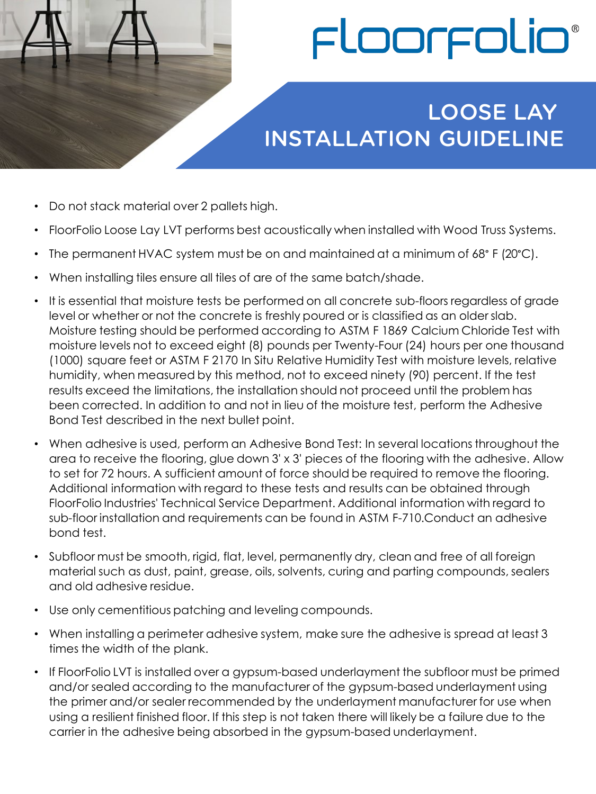

## LOOSE LAY INSTALLATION GUIDELINE

- Do not stack material over 2 pallets high.
- FloorFolio Loose Lay LVT performs best acoustically when installed with Wood Truss Systems.
- The permanent HVAC system must be on and maintained at a minimum of 68° F (20°C).
- When installing tiles ensure all tiles of are of the same batch/shade.
- It is essential that moisture tests be performed on all concrete sub-floors regardless of grade level or whether or not the concrete is freshly poured or is classified as an older slab. Moisture testing should be performed according to ASTM F 1869 Calcium Chloride Test with moisture levels not to exceed eight (8) pounds per Twenty-Four (24) hours per one thousand (1000) square feet or ASTM F 2170 In Situ Relative Humidity Test with moisture levels, relative humidity, when measured by this method, not to exceed ninety (90) percent. If the test results exceed the limitations, the installation should not proceed until the problem has been corrected. In addition to and not in lieu of the moisture test, perform the Adhesive Bond Test described in the next bullet point.
- When adhesive is used, perform an Adhesive Bond Test: In several locations throughout the area to receive the flooring, glue down 3' x 3' pieces of the flooring with the adhesive. Allow to set for 72 hours. A sufficient amount of force should be required to remove the flooring. Additional information with regard to these tests and results can be obtained through FloorFolio Industries' Technical Service Department. Additional information with regard to sub-floor installation and requirements can be found in ASTM F-710.Conduct an adhesive bond test.
- Subfloor must be smooth, rigid, flat, level, permanently dry, clean and free of all foreign material such as dust, paint, grease, oils, solvents, curing and parting compounds, sealers and old adhesive residue.
- Use only cementitious patching and leveling compounds.
- When installing a perimeter adhesive system, make sure the adhesive is spread at least 3 times the width of the plank.
- If FloorFolio LVT is installed over a gypsum-based underlayment the subfloor must be primed and/or sealed according to the manufacturer of the gypsum-based underlayment using the primer and/or sealer recommended by the underlayment manufacturer for use when using a resilient finished floor. If this step is not taken there will likely be a failure due to the carrier in the adhesive being absorbed in the gypsum-based underlayment.